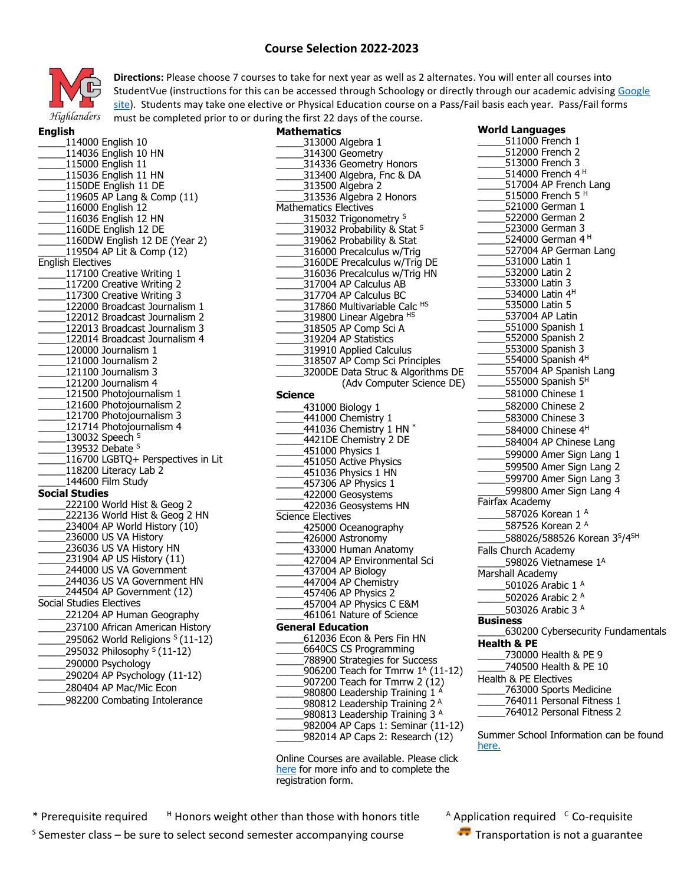# **Course Selection 2022-2023**



**Directions:** Please choose 7 courses to take for next year as well as 2 alternates. You will enter all courses into StudentVue (instructions for this can be accessed through Schoology or directly through our academic advising Google [site\)](https://sites.google.com/fcpsschools.net/mcleanhsacademicadvising). Students may take one elective or Physical Education course on a Pass/Fail basis each year. Pass/Fail forms must be completed prior to or during the first 22 days of the course.

| <b>English</b>                            |                                                                                    |
|-------------------------------------------|------------------------------------------------------------------------------------|
| 114000 English 10                         |                                                                                    |
|                                           | 114036 English 10 HN                                                               |
| 115000 English 11                         |                                                                                    |
| _____115036 English 11 HN                 |                                                                                    |
| 1150DE English 11 DE                      |                                                                                    |
|                                           | 119605 AP Lang & Comp (11)                                                         |
| 116000 English 12                         |                                                                                    |
|                                           |                                                                                    |
|                                           | 116036 English 12 HN                                                               |
| 1160DE English 12 DE                      |                                                                                    |
|                                           | 1160DW English 12 DE (Year 2)                                                      |
|                                           | 119504 AP Lit & Comp (12)                                                          |
| <b>English Electives</b>                  |                                                                                    |
|                                           | 117100 Creative Writing 1                                                          |
|                                           | 117200 Creative Writing 2                                                          |
|                                           | 117300 Creative Writing 3                                                          |
|                                           | 122000 Broadcast Journalism 1                                                      |
|                                           | 122012 Broadcast Journalism 2                                                      |
|                                           | 122013 Broadcast Journalism 3                                                      |
|                                           | 122014 Broadcast Journalism 4                                                      |
| $120000$ Journalism 1                     |                                                                                    |
|                                           |                                                                                    |
|                                           |                                                                                    |
| $\frac{121200 \text{ Journalism}}{4}$     |                                                                                    |
|                                           | 121500 Photojournalism 1                                                           |
|                                           | 121600 Photojournalism 2                                                           |
|                                           | ____121700 Photojournalism 3                                                       |
|                                           | 121714 Photojournalism 4<br>130032 Speech <sup>S</sup>                             |
|                                           |                                                                                    |
| $\overline{1}$ 139532 Debate <sup>S</sup> |                                                                                    |
|                                           | 116700 LGBTQ+ Perspectives in Lit                                                  |
|                                           | 118200 Literacy Lab 2                                                              |
| 144600 Film Study                         |                                                                                    |
| <b>Social Studies</b>                     |                                                                                    |
|                                           | 222100 World Hist & Geog 2                                                         |
|                                           | 222136 World Hist & Geog 2 HN                                                      |
|                                           | $234004$ AP World History $(10)$                                                   |
|                                           | 236000 US VA History                                                               |
|                                           | 236036 US VA History HN                                                            |
|                                           |                                                                                    |
|                                           | -231904 AP US History (11)<br>231904 AP US History (11)<br>244000 US VA Government |
|                                           | 244036 US VA Government HN                                                         |
|                                           | 244504 AP Government (12)                                                          |
| Social Studies Electives                  |                                                                                    |
|                                           |                                                                                    |
|                                           | 221204 AP Human Geography                                                          |
|                                           | 237100 African American History                                                    |
|                                           | 295062 World Religions <sup>S</sup> (11-12)                                        |
|                                           | 295032 Philosophy <sup>S</sup> (11-12)                                             |
| 290000 Psychology                         |                                                                                    |
|                                           | 290204 AP Psychology (11-12)                                                       |
|                                           | 280404 AP Mac/Mic Econ                                                             |
|                                           |                                                                                    |
|                                           | 982200 Combating Intolerance                                                       |

**Mathematics** \_\_\_\_\_313000 Algebra 1 314300 Geometry \_\_\_\_\_314336 Geometry Honors \_\_\_\_\_313400 Algebra, Fnc & DA \_\_\_\_\_313500 Algebra 2 \_\_\_\_\_313536 Algebra 2 Honors Mathematics Electives 315032 Trigonometry <sup>S</sup> 319032 Probability & Stat <sup>S</sup> \_\_\_\_\_319062 Probability & Stat \_\_\_\_\_316000 Precalculus w/Trig \_\_\_\_\_3160DE Precalculus w/Trig DE \_\_\_\_\_316036 Precalculus w/Trig HN \_\_\_\_\_317004 AP Calculus AB \_\_\_\_\_317704 AP Calculus BC 317860 Multivariable Calc <sup>HS</sup> 319800 Linear Algebra <sup>HS</sup> \_\_\_\_\_318505 AP Comp Sci A \_\_\_\_\_319204 AP Statistics \_\_\_\_\_319910 Applied Calculus \_\_\_\_\_318507 AP Comp Sci Principles \_\_\_\_\_3200DE Data Struc & Algorithms DE (Adv Computer Science DE) **Science** \_\_\_\_\_431000 Biology 1 441000 Chemistry 1  $441036$  Chemistry 1 HN  $^*$ 4421DE Chemistry 2 DE \_\_\_\_\_451000 Physics 1 \_\_\_\_\_451050 Active Physics \_\_\_\_\_451036 Physics 1 HN \_\_\_\_\_457306 AP Physics 1 \_\_\_\_\_422000 Geosystems \_\_\_\_\_422036 Geosystems HN Science Electives \_\_\_\_\_425000 Oceanography \_\_\_\_\_426000 Astronomy \_\_\_\_\_433000 Human Anatomy \_\_\_\_\_427004 AP Environmental Sci \_\_\_\_\_437004 AP Biology \_\_\_\_\_447004 AP Chemistry \_\_\_\_\_457406 AP Physics 2 \_\_\_\_\_457004 AP Physics C E&M \_\_\_\_\_461061 Nature of Science **General Education** \_\_\_\_\_612036 Econ & Pers Fin HN \_\_\_\_\_6640CS CS Programming \_\_\_\_\_788900 Strategies for Success **1.1.12 12 12 12 13 13 13 13 13 13 13 13 13 13 13 13 14 13 14 14 15 14 16 17 18 18 18 18 18 18 18 18 18 18 18 1**  $.907200$  Teach for Tmrrw 2 (12) 980800 Leadership Training 1 A 980812 Leadership Training 2 A 980813 Leadership Training 3 A \_\_\_\_\_982004 AP Caps 1: Seminar (11-12) \_\_\_\_\_982014 AP Caps 2: Research (12)

Online Courses are available. Please click [here](https://www.fcps.edu/academics/academic-overview/online-campus) for more info and to complete the registration form.

\_\_\_\_\_512000 French 2 \_\_\_\_\_513000 French 3 514000 French 4 <sup>H</sup> \_\_\_\_\_517004 AP French Lang  $515000$  French 5 <sup>H</sup> \_\_\_\_\_521000 German 1 \_\_\_\_\_522000 German 2 \_\_\_\_\_523000 German 3 524000 German 4 <sup>H</sup> \_\_\_\_\_527004 AP German Lang \_\_\_\_\_531000 Latin 1 \_\_\_\_\_532000 Latin 2 \_\_\_\_\_533000 Latin 3 534000 Latin 4<sup>H</sup> \_\_\_\_\_535000 Latin 5 \_\_\_\_\_537004 AP Latin \_\_\_\_\_551000 Spanish 1 \_\_\_\_\_552000 Spanish 2 \_\_\_\_\_553000 Spanish 3 554000 Spanish  $4<sup>H</sup>$ \_\_\_\_\_557004 AP Spanish Lang  $555000$  Spanish 5<sup>H</sup> \_\_\_\_\_581000 Chinese 1 \_\_\_\_\_582000 Chinese 2 \_\_\_\_\_583000 Chinese 3 584000 Chinese 4<sup>H</sup> \_\_\_\_\_584004 AP Chinese Lang 599000 Amer Sign Lang 1 \_\_\_\_\_599500 Amer Sign Lang 2 \_\_\_\_\_599700 Amer Sign Lang 3 \_\_\_\_\_599800 Amer Sign Lang 4 Fairfax Academy 587026 Korean 1 A 587526 Korean 2 A \_\_\_\_\_588026/588526 Korean 3<sup>S</sup> /4SH Falls Church Academy 598026 Vietnamese 1<sup>A</sup> Marshall Academy 501026 Arabic 1 A 502026 Arabic 2 A 503026 Arabic 3 A **Business** \_\_\_\_\_630200 Cybersecurity Fundamentals **Health & PE**  \_\_\_\_\_730000 Health & PE 9

**World Languages**

\_\_\_\_\_511000 French 1

\_\_\_\_\_740500 Health & PE 10 Health & PE Electives \_\_\_\_\_763000 Sports Medicine \_\_\_\_\_764011 Personal Fitness 1

\_\_\_\_\_764012 Personal Fitness 2

Summer School Information can be found [here.](https://www.fcps.edu/academics/summer-learning)

- \* Prerequisite required  $H$  Honors weight other than those with honors title  $A$  Application required  $H$  Co-requisite
- $s$  Semester class be sure to select second semester accompanying course **The Companying community** Transportation is not a guarantee
- -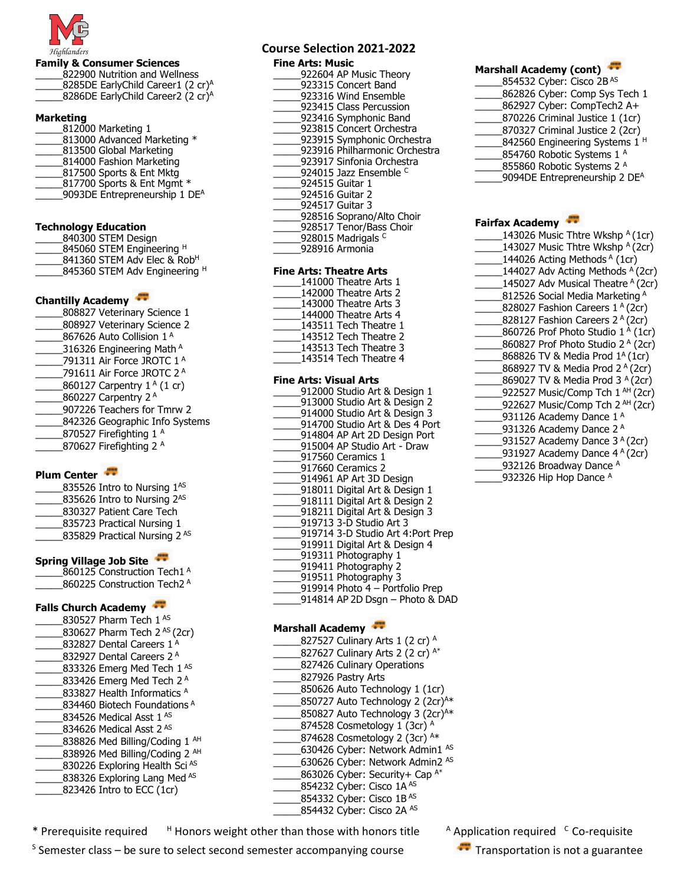

#### **Family & Consumer Sciences** \_\_\_\_\_822900 Nutrition and Wellness

\_\_\_\_\_\_8285DE EarlyChild Career1 (2 cr)<sup>A</sup> \_\_\_\_\_\_8286DE EarlyChild Career2 (2 cr)<sup>A</sup>

### **Marketing**

| 812000 Marketing 1            |
|-------------------------------|
| 813000 Advanced Marketing *   |
| 813500 Global Marketing       |
| 814000 Fashion Marketing      |
| 817500 Sports & Ent Mktg      |
| 817700 Sports & Ent Mgmt *    |
| 9093DE Entrepreneurship 1 DEA |

### **Technology Education**

| 840300 STEM Design                       |  |
|------------------------------------------|--|
| 845060 STEM Engineering <sup>H</sup>     |  |
| 841360 STEM Adv Elec & Rob <sup>H</sup>  |  |
| 845360 STEM Adv Engineering <sup>H</sup> |  |

## **Chantilly Academy**

| 808827 Veterinary Science 1            |
|----------------------------------------|
| 808927 Veterinary Science 2            |
| 867626 Auto Collision 1 A              |
| 316326 Engineering Math A              |
| 791311 Air Force JROTC 1A              |
| 791611 Air Force JROTC 2 A             |
| 860127 Carpentry 1 <sup>A</sup> (1 cr) |
| 860227 Carpentry 2A                    |
| 907226 Teachers for Tmrw 2             |
| 842326 Geographic Info Systems         |
| 870527 Firefighting 1 A                |
| 870627 Firefighting 2 A                |

## **Plum Center**

 $\_$ 835526 Intro to Nursing 1<sup>AS</sup> \_835626 Intro to Nursing 2<sup>AS</sup> \_\_\_\_\_830327 Patient Care Tech \_\_\_\_\_835723 Practical Nursing 1 \_835829 Practical Nursing 2<sup>AS</sup>

### **Spring Village Job Site**

\_860125 Construction Tech1 A 860225 Construction Tech2 A

# **Falls Church Academy**

| 830527 Pharm Tech 1 AS                  |
|-----------------------------------------|
| 830627 Pharm Tech 2 <sup>AS</sup> (2cr) |
| 832827 Dental Careers 1 A               |
| 832927 Dental Careers 2 A               |
| 833326 Emerg Med Tech 1 AS              |
| 833426 Emerg Med Tech 2 A               |
| 833827 Health Informatics A             |
| 834460 Biotech Foundations A            |
| 834526 Medical Asst 1 AS                |
| 834626 Medical Asst 2 <sup>AS</sup>     |
| 838826 Med Billing/Coding 1             |
| 838926 Med Billing/Coding 2 AH          |
| 830226 Exploring Health Sci AS          |
| 838326 Exploring Lang Med AS            |
| 823426 Intro to ECC (1cr)               |
|                                         |

# **Course Selection 2021-2022**

### **Fine Arts: Music**

| 922604 AP Music Theory        |
|-------------------------------|
| 923315 Concert Band           |
| 923316 Wind Ensemble          |
| 923415 Class Percussion       |
| 923416 Symphonic Band         |
| 923815 Concert Orchestra      |
| 923915 Symphonic Orchestra    |
| 923916 Philharmonic Orchestra |
| 923917 Sinfonia Orchestra     |
| 924015 Jazz Ensemble C        |
| 924515 Guitar 1               |
| 924516 Guitar 2               |
| 924517 Guitar 3               |
| 928516 Soprano/Alto Choir     |
| 928517 Tenor/Bass Choir       |
| 928015 Madrigals C            |
| 928916 Armonia                |

#### **Fine Arts: Theatre Arts**

| 141000 Theatre Arts 1 |
|-----------------------|
| 142000 Theatre Arts 2 |
| 143000 Theatre Arts 3 |
| 144000 Theatre Arts 4 |
| 143511 Tech Theatre 1 |
| 143512 Tech Theatre 2 |
| 143513 Tech Theatre 3 |
| 143514 Tech Theatre 4 |
|                       |

### **Fine Arts: Visual Arts**

### **Marshall Academy**

| 827527 Culinary Arts 1 (2 cr) A              |
|----------------------------------------------|
| 827627 Culinary Arts 2 (2 cr) A*             |
| 827426 Culinary Operations                   |
| 827926 Pastry Arts                           |
| 850626 Auto Technology 1 (1cr)               |
| 850727 Auto Technology 2 (2cr) <sup>A*</sup> |
| 850827 Auto Technology 3 (2cr) <sup>A*</sup> |
| 874528 Cosmetology 1 (3cr) A                 |
| 874628 Cosmetology 2 (3cr) A*                |
| 630426 Cyber: Network Admin1 AS              |
| 630626 Cyber: Network Admin2 AS              |
| 863026 Cyber: Security+ Cap A*               |
| 854232 Cyber: Cisco 1A AS                    |
| 854332 Cyber: Cisco 1BAS                     |
| 854432 Cyber: Cisco 2A AS                    |

## **Marshall Academy (cont)**

## **Fairfax Academy**

| 143026 Music Thtre Wkshp A (1cr)             |
|----------------------------------------------|
| 143027 Music Thtre Wkshp A (2cr)             |
| 144026 Acting Methods A (1cr)                |
| 144027 Adv Acting Methods <sup>A</sup> (2cr) |
| 145027 Adv Musical Theatre A (2cr)           |
| 812526 Social Media Marketing A              |
| 828027 Fashion Careers 1 A (2cr)             |
| 828127 Fashion Careers 2 A (2cr)             |
| 860726 Prof Photo Studio 1 A (1cr)           |
| 860827 Prof Photo Studio 2 A (2cr)           |
| 868826 TV & Media Prod 1 <sup>A</sup> (1cr)  |
| 868927 TV & Media Prod 2 <sup>A</sup> (2cr)  |
| 869027 TV & Media Prod 3 <sup>A</sup> (2cr)  |
| 922527 Music/Comp Tch 1 AH (2cr)             |
| 922627 Music/Comp Tch 2 <sup>AH</sup> (2cr)  |
| 931126 Academy Dance 1 A                     |
| 931326 Academy Dance 2 A                     |
| 931527 Academy Dance 3 A (2cr)               |
| 931927 Academy Dance 4 A (2cr)               |
| 932126 Broadway Dance A                      |
| 932326 Hip Hop Dance A                       |
|                                              |

\* Prerequisite required H Honors weight other than those with honors title

<sup>s</sup> Semester class – be sure to select second semester accompanying course **The Communisty of Transportation is not a guarantee** 

 $A$  Application required  $C$  Co-requisite